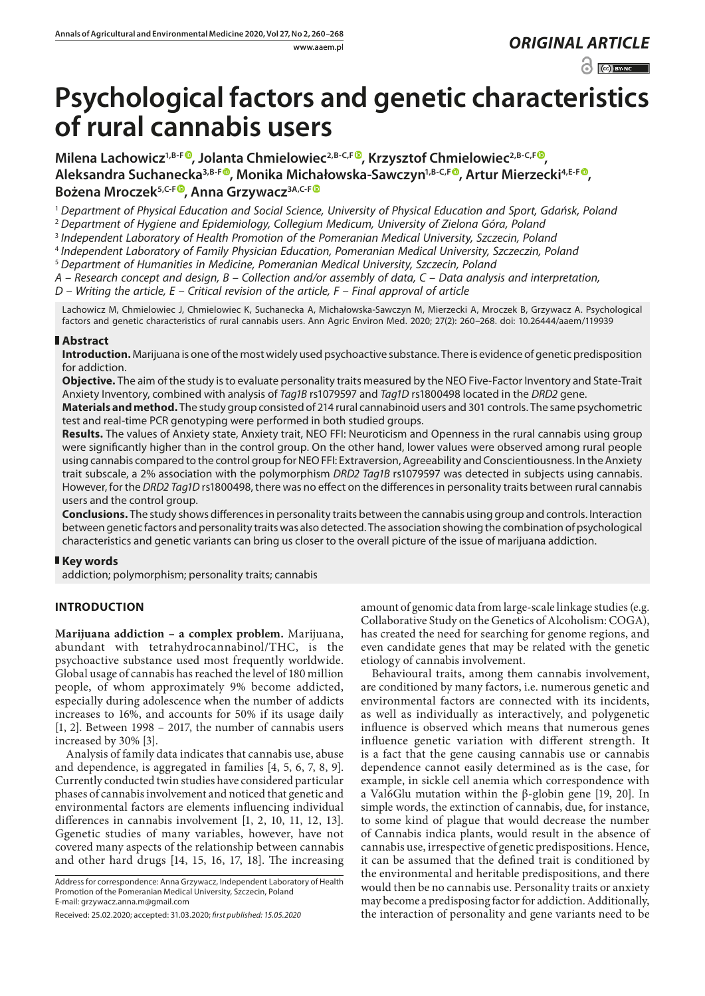www.aaem.pl *ORIGINAL [ARTICLE](https://creativecommons.org/licenses/by-nc/3.0/pl/deed.en)* 

 $\odot$   $\odot$  BY-NC

# **Psychological factors and genetic characteristics of rural cannabis users**

Milena Lachowicz<sup>1,B-[F](https://orcid.org/0000-0003-4254-5466)®</sup>, Jolanta Chmielowiec<sup>2,B-C,F®</sup>, Krzysztof Chmielowiec<sup>2,B-C,F®</sup>, **Aleksandra Suchanecka3,B-F [,](https://orcid.org/0000-0002-7137-1429) Monika Michałowska-Sawczyn1,B-C,F [,](https://orcid.org/0000-0003-3223-1084) Artur Mierzecki4,E-F [,](https://orcid.org/0000-0003-0822-8141) Bożena Mroczek5,C-[F](https://orcid.org/0000-0002-6745-4942) , Anna Grzywac[z3A,C-F](https://orcid.org/0000-0002-2633-520X)**

<sup>1</sup> *Department of Physical Education and Social Science, University of Physical Education and Sport, Gdańsk, Poland*

<sup>2</sup> *Department of Hygiene and Epidemiology, Collegium Medicum, University of Zielona Góra, Poland*

<sup>3</sup> *Independent Laboratory of Health Promotion of the Pomeranian Medical University, Szczecin, Poland*

<sup>4</sup> *Independent Laboratory of Family Physician Education, Pomeranian Medical University, Szczeczin, Poland*

<sup>5</sup> *Department of Humanities in Medicine, Pomeranian Medical University, Szczecin, Poland*

*A – Research concept and design, B – Collection and/or assembly of data, C – Data analysis and interpretation,* 

*D – Writing the article, E – Critical revision of the article, F – Final approval of article*

Lachowicz M, Chmielowiec J, Chmielowiec K, Suchanecka A, Michałowska-Sawczyn M, Mierzecki A, Mroczek B, Grzywacz A. Psychological factors and genetic characteristics of rural cannabis users. Ann Agric Environ Med. 2020; 27(2): 260–268. doi: 10.26444/aaem/119939

# **Abstract**

**Introduction.** Marijuana is one of the most widely used psychoactive substance. There is evidence of genetic predisposition for addiction.

**Objective.** The aim of the study is to evaluate personality traits measured by the NEO Five-Factor Inventory and State-Trait Anxiety Inventory, combined with analysis of *Tag1B* rs1079597 and *Tag1D* rs1800498 located in the *DRD2* gene.

**Materials and method.** The study group consisted of 214 rural cannabinoid users and 301 controls. The same psychometric test and real-time PCR genotyping were performed in both studied groups.

**Results.** The values of Anxiety state, Anxiety trait, NEO FFI: Neuroticism and Openness in the rural cannabis using group were significantly higher than in the control group. On the other hand, lower values were observed among rural people using cannabis compared to the control group for NEO FFI: Extraversion, Agreeability and Conscientiousness. In the Anxiety trait subscale, a 2% association with the polymorphism *DRD2 Tag1B* rs1079597 was detected in subjects using cannabis. However, for the *DRD2 Tag1D* rs1800498, there was no effect on the differences in personality traits between rural cannabis users and the control group.

**Conclusions.** The study shows differences in personality traits between the cannabis using group and controls. Interaction between genetic factors and personality traits was also detected. The association showing the combination of psychological characteristics and genetic variants can bring us closer to the overall picture of the issue of marijuana addiction.

# **Key words**

addiction; polymorphism; personality traits; cannabis

# **INTRODUCTION**

**Marijuana addiction – a complex problem.** Marijuana, abundant with tetrahydrocannabinol/THC, is the psychoactive substance used most frequently worldwide. Global usage of cannabis has reached the level of 180 million people, of whom approximately 9% become addicted, especially during adolescence when the number of addicts increases to 16%, and accounts for 50% if its usage daily [1, 2]. Between 1998 – 2017, the number of cannabis users increased by 30% [3].

Analysis of family data indicates that cannabis use, abuse and dependence, is aggregated in families [4, 5, 6, 7, 8, 9]. Currently conducted twin studies have considered particular phases of cannabis involvement and noticed that genetic and environmental factors are elements influencing individual differences in cannabis involvement [1, 2, 10, 11, 12, 13]. Ggenetic studies of many variables, however, have not covered many aspects of the relationship between cannabis and other hard drugs [14, 15, 16, 17, 18]. The increasing

Address for correspondence: Anna Grzywacz, Independent Laboratory of Health Promotion of the Pomeranian Medical University, Szczecin, Poland E-mail: grzywacz.anna.m@gmail.com

amount of genomic data from large-scale linkage studies (e.g. Collaborative Study on the Genetics of Alcoholism: COGA), has created the need for searching for genome regions, and even candidate genes that may be related with the genetic etiology of cannabis involvement.

Behavioural traits, among them cannabis involvement, are conditioned by many factors, i.e. numerous genetic and environmental factors are connected with its incidents, as well as individually as interactively, and polygenetic influence is observed which means that numerous genes influence genetic variation with different strength. It is a fact that the gene causing cannabis use or cannabis dependence cannot easily determined as is the case, for example, in sickle cell anemia which correspondence with a Val6Glu mutation within the β-globin gene [19, 20]. In simple words, the extinction of cannabis, due, for instance, to some kind of plague that would decrease the number of Cannabis indica plants, would result in the absence of cannabis use, irrespective of genetic predispositions. Hence, it can be assumed that the defined trait is conditioned by the environmental and heritable predispositions, and there would then be no cannabis use. Personality traits or anxiety may become a predisposing factor for addiction. Additionally, the interaction of personality and gene variants need to be

Received: 25.02.2020; accepted: 31.03.2020; *first published: 15.05.2020*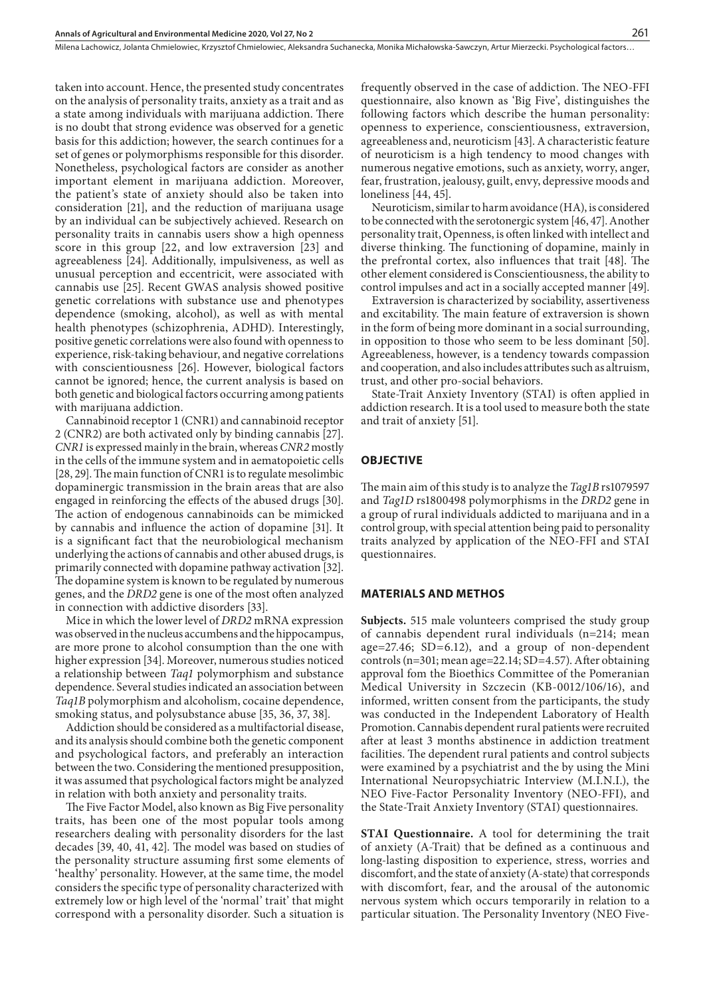Milena Lachowicz, Jolanta Chmielowiec, Krzysztof Chmielowiec, Aleksandra Suchanecka, Monika Michałowska-Sawczyn, Artur Mierzecki . Psychological factors…

taken into account. Hence, the presented study concentrates on the analysis of personality traits, anxiety as a trait and as a state among individuals with marijuana addiction. There is no doubt that strong evidence was observed for a genetic basis for this addiction; however, the search continues for a set of genes or polymorphisms responsible for this disorder. Nonetheless, psychological factors are consider as another important element in marijuana addiction. Moreover, the patient's state of anxiety should also be taken into consideration [21], and the reduction of marijuana usage by an individual can be subjectively achieved. Research on personality traits in cannabis users show a high openness score in this group [22, and low extraversion [23] and agreeableness [24]. Additionally, impulsiveness, as well as unusual perception and eccentricit, were associated with cannabis use [25]. Recent GWAS analysis showed positive genetic correlations with substance use and phenotypes dependence (smoking, alcohol), as well as with mental health phenotypes (schizophrenia, ADHD). Interestingly, positive genetic correlations were also found with openness to experience, risk-taking behaviour, and negative correlations with conscientiousness [26]. However, biological factors cannot be ignored; hence, the current analysis is based on both genetic and biological factors occurring among patients with marijuana addiction.

Cannabinoid receptor 1 (CNR1) and cannabinoid receptor 2 (CNR2) are both activated only by binding cannabis [27]. *CNR1* is expressed mainly in the brain, whereas *CNR2* mostly in the cells of the immune system and in aematopoietic cells [28, 29]. The main function of CNR1 is to regulate mesolimbic dopaminergic transmission in the brain areas that are also engaged in reinforcing the effects of the abused drugs [30]. The action of endogenous cannabinoids can be mimicked by cannabis and influence the action of dopamine [31]. It is a significant fact that the neurobiological mechanism underlying the actions of cannabis and other abused drugs, is primarily connected with dopamine pathway activation [32]. The dopamine system is known to be regulated by numerous genes, and the *DRD2* gene is one of the most often analyzed in connection with addictive disorders [33].

Mice in which the lower level of *DRD2* mRNA expression was observed in the nucleus accumbens and the hippocampus, are more prone to alcohol consumption than the one with higher expression [34]. Moreover, numerous studies noticed a relationship between *Taq1* polymorphism and substance dependence. Several studies indicated an association between *Taq1B* polymorphism and alcoholism, cocaine dependence, smoking status, and polysubstance abuse [35, 36, 37, 38].

Addiction should be considered as a multifactorial disease, and its analysis should combine both the genetic component and psychological factors, and preferably an interaction between the two. Considering the mentioned presupposition, it was assumed that psychological factors might be analyzed in relation with both anxiety and personality traits.

The Five Factor Model, also known as Big Five personality traits, has been one of the most popular tools among researchers dealing with personality disorders for the last decades [39, 40, 41, 42]. The model was based on studies of the personality structure assuming first some elements of 'healthy' personality. However, at the same time, the model considers the specific type of personality characterized with extremely low or high level of the 'normal' trait' that might correspond with a personality disorder. Such a situation is

frequently observed in the case of addiction. The NEO-FFI questionnaire, also known as 'Big Five', distinguishes the following factors which describe the human personality: openness to experience, conscientiousness, extraversion, agreeableness and, neuroticism [43]. A characteristic feature of neuroticism is a high tendency to mood changes with numerous negative emotions, such as anxiety, worry, anger, fear, frustration, jealousy, guilt, envy, depressive moods and loneliness [44, 45].

Neuroticism, similar to harm avoidance (HA), is considered to be connected with the serotonergic system [46, 47]. Another personality trait, Openness, is often linked with intellect and diverse thinking. The functioning of dopamine, mainly in the prefrontal cortex, also influences that trait [48]. The other element considered is Conscientiousness, the ability to control impulses and act in a socially accepted manner [49].

Extraversion is characterized by sociability, assertiveness and excitability. The main feature of extraversion is shown in the form of being more dominant in a social surrounding, in opposition to those who seem to be less dominant [50]. Agreeableness, however, is a tendency towards compassion and cooperation, and also includes attributes such as altruism, trust, and other pro-social behaviors.

State-Trait Anxiety Inventory (STAI) is often applied in addiction research. It is a tool used to measure both the state and trait of anxiety [51].

# **OBJECTIVE**

The main aim of this study is to analyze the *Tag1B* rs1079597 and *Tag1D* rs1800498 polymorphisms in the *DRD2* gene in a group of rural individuals addicted to marijuana and in a control group, with special attention being paid to personality traits analyzed by application of the NEO-FFI and STAI questionnaires.

#### **MATERIALS AND METHOS**

**Subjects.** 515 male volunteers comprised the study group of cannabis dependent rural individuals (n=214; mean age=27.46; SD=6.12), and a group of non-dependent controls (n=301; mean age=22.14; SD=4.57). After obtaining approval fom the Bioethics Committee of the Pomeranian Medical University in Szczecin (KB-0012/106/16), and informed, written consent from the participants, the study was conducted in the Independent Laboratory of Health Promotion. Cannabis dependent rural patients were recruited after at least 3 months abstinence in addiction treatment facilities. The dependent rural patients and control subjects were examined by a psychiatrist and the by using the Mini International Neuropsychiatric Interview (M.I.N.I.), the NEO Five-Factor Personality Inventory (NEO-FFI), and the State-Trait Anxiety Inventory (STAI) questionnaires.

**STAI Questionnaire.** A tool for determining the trait of anxiety (A-Trait) that be defined as a continuous and long-lasting disposition to experience, stress, worries and discomfort, and the state of anxiety (A-state) that corresponds with discomfort, fear, and the arousal of the autonomic nervous system which occurs temporarily in relation to a particular situation. The Personality Inventory (NEO Five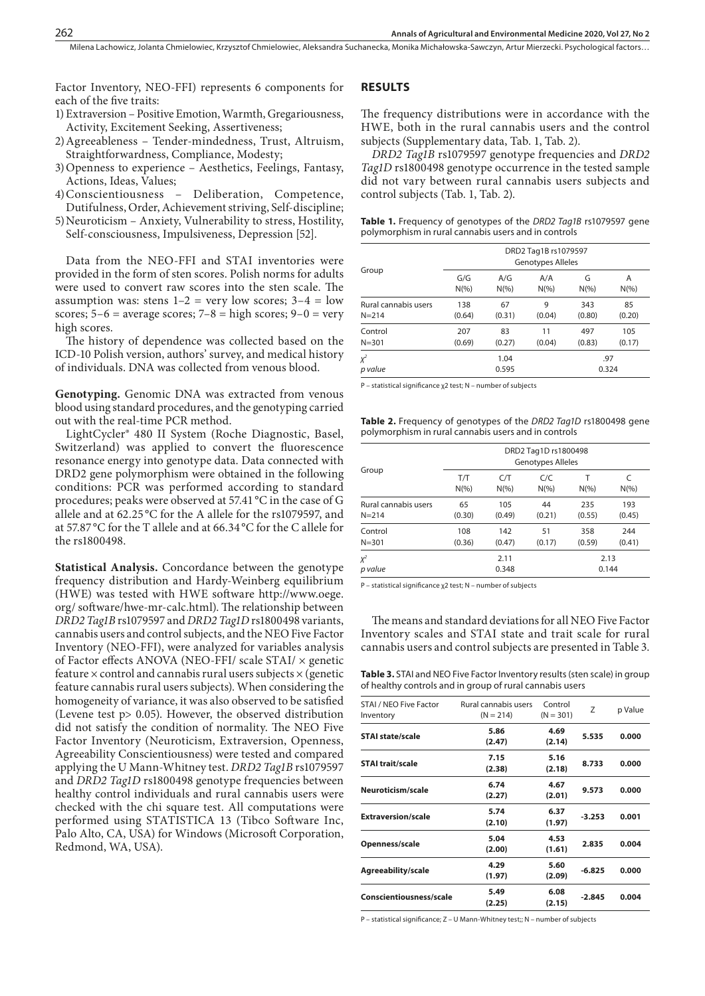Milena Lachowicz, Jolanta Chmielowiec, Krzysztof Chmielowiec, Aleksandra Suchanecka, Monika Michałowska-Sawczyn, Artur Mierzecki, Psychological factors…

Factor Inventory, NEO-FFI) represents 6 components for each of the five traits:

- 1) Extraversion Positive Emotion, Warmth, Gregariousness, Activity, Excitement Seeking, Assertiveness;
- 2)Agreeableness Tender-mindedness, Trust, Altruism, Straightforwardness, Compliance, Modesty;
- 3)Openness to experience Aesthetics, Feelings, Fantasy, Actions, Ideas, Values;
- 4)Conscientiousness Deliberation, Competence, Dutifulness, Order, Achievement striving, Self-discipline;
- 5)Neuroticism Anxiety, Vulnerability to stress, Hostility, Self-consciousness, Impulsiveness, Depression [52].

Data from the NEO-FFI and STAI inventories were provided in the form of sten scores. Polish norms for adults were used to convert raw scores into the sten scale. The assumption was: stens  $1-2$  = very low scores;  $3-4$  = low scores;  $5-6$  = average scores;  $7-8$  = high scores;  $9-0$  = very high scores.

The history of dependence was collected based on the ICD-10 Polish version, authors' survey, and medical history of individuals. DNA was collected from venous blood.

**Genotyping.** Genomic DNA was extracted from venous blood using standard procedures, and the genotyping carried out with the real-time PCR method.

LightCycler® 480 II System (Roche Diagnostic, Basel, Switzerland) was applied to convert the fluorescence resonance energy into genotype data. Data connected with DRD2 gene polymorphism were obtained in the following conditions: PCR was performed according to standard procedures; peaks were observed at 57.41 °C in the case of G allele and at 62.25 °C for the A allele for the rs1079597, and at 57.87 °C for the T allele and at 66.34 °C for the C allele for the rs1800498.

**Statistical Analysis.** Concordance between the genotype frequency distribution and Hardy-Weinberg equilibrium (HWE) was tested with HWE software [http://www.oege.](http://www.oege.org/) [org/](http://www.oege.org/) software/hwe-mr-calc.html). The relationship between *DRD2 Tag1B* rs1079597 and *DRD2 Tag1D* rs1800498 variants, cannabis users and control subjects, and the NEO Five Factor Inventory (NEO-FFI), were analyzed for variables analysis of Factor effects ANOVA (NEO-FFI/ scale STAI/ × genetic feature  $\times$  control and cannabis rural users subjects  $\times$  (genetic feature cannabis rural users subjects). When considering the homogeneity of variance, it was also observed to be satisfied (Levene test p> 0.05). However, the observed distribution did not satisfy the condition of normality. The NEO Five Factor Inventory (Neuroticism, Extraversion, Openness, Agreeability Conscientiousness) were tested and compared applying the U Mann-Whitney test. *DRD2 Tag1B* rs1079597 and *DRD2 Tag1D* rs1800498 genotype frequencies between healthy control individuals and rural cannabis users were checked with the chi square test. All computations were performed using STATISTICA 13 (Tibco Software Inc, Palo Alto, CA, USA) for Windows (Microsoft Corporation, Redmond, WA, USA).

### **RESULTS**

The frequency distributions were in accordance with the HWE, both in the rural cannabis users and the control subjects (Supplementary data, Tab. 1, Tab. 2).

*DRD2 Tag1B* rs1079597 genotype frequencies and *DRD2 Tag1D* rs1800498 genotype occurrence in the tested sample did not vary between rural cannabis users subjects and control subjects (Tab. 1, Tab. 2).

|  |                                                      |  |  | Table 1. Frequency of genotypes of the DRD2 Tag1B rs1079597 gene |  |
|--|------------------------------------------------------|--|--|------------------------------------------------------------------|--|
|  | polymorphism in rural cannabis users and in controls |  |  |                                                                  |  |

|                      | DRD2 Tag1B rs1079597<br>Genotypes Alleles |               |         |              |          |  |  |  |
|----------------------|-------------------------------------------|---------------|---------|--------------|----------|--|--|--|
| Group                | G/G                                       | A/G           | A/A     | G            | Α        |  |  |  |
|                      | $N(\% )$                                  | $N(\%)$       | $N(\%)$ | $N(\% )$     | $N(\% )$ |  |  |  |
| Rural cannabis users | 138                                       | 67            | 9       | 343          | 85       |  |  |  |
| $N = 214$            | (0.64)                                    | (0.31)        | (0.04)  | (0.80)       | (0.20)   |  |  |  |
| Control              | 207                                       | 83            | 11      | 497          | 105      |  |  |  |
| $N = 301$            | (0.69)                                    | (0.27)        | (0.04)  | (0.83)       | (0.17)   |  |  |  |
| $X^2$<br>p value     |                                           | 1.04<br>0.595 |         | .97<br>0.324 |          |  |  |  |

P – statistical significance χ2 test; N – number of subjects

**Table 2.** Frequency of genotypes of the *DRD2 Tag1D* rs1800498 gene polymorphism in rural cannabis users and in controls

|                      | DRD2 Tag1D rs1800498<br><b>Genotypes Alleles</b> |         |          |          |          |  |  |  |
|----------------------|--------------------------------------------------|---------|----------|----------|----------|--|--|--|
| Group                | T/T                                              | C/T     | C/C      | т        | C        |  |  |  |
|                      | $N(\% )$                                         | $N(\%)$ | $N(\% )$ | $N(\% )$ | $N(\% )$ |  |  |  |
| Rural cannabis users | 65                                               | 105     | 44       | 235      | 193      |  |  |  |
| $N = 214$            | (0.30)                                           | (0.49)  | (0.21)   | (0.55)   | (0.45)   |  |  |  |
| Control              | 108                                              | 142     | 51       | 358      | 244      |  |  |  |
| $N = 301$            | (0.36)                                           | (0.47)  | (0.17)   | (0.59)   | (0.41)   |  |  |  |
| $X^2$                |                                                  | 2.11    | 2.13     |          |          |  |  |  |
| p value              |                                                  | 0.348   | 0.144    |          |          |  |  |  |

P – statistical significance χ2 test; N – number of subjects

The means and standard deviations for all NEO Five Factor Inventory scales and STAI state and trait scale for rural cannabis users and control subjects are presented in Table 3.

**Table 3.** STAI and NEO Five Factor Inventory results (sten scale) in group of healthy controls and in group of rural cannabis users

| STAI / NEO Five Factor<br>Inventory | Rural cannabis users<br>$(N = 214)$ | Control<br>$(N = 301)$ | Z        | p Value |
|-------------------------------------|-------------------------------------|------------------------|----------|---------|
| <b>STAI state/scale</b>             | 5.86<br>(2.47)                      | 4.69<br>(2.14)         | 5.535    | 0.000   |
| <b>STAI trait/scale</b>             | 7.15<br>(2.38)                      | 5.16<br>(2.18)         | 8.733    | 0.000   |
| Neuroticism/scale                   | 6.74<br>(2.27)                      | 4.67<br>(2.01)         | 9.573    | 0.000   |
| <b>Extraversion/scale</b>           | 5.74<br>(2.10)                      | 6.37<br>(1.97)         | $-3.253$ | 0.001   |
| Openness/scale                      | 5.04<br>(2.00)                      | 4.53<br>(1.61)         | 2.835    | 0.004   |
| Agreeability/scale                  | 4.29<br>(1.97)                      | 5.60<br>(2.09)         | $-6.825$ | 0.000   |
| Conscientiousness/scale             | 5.49<br>(2.25)                      | 6.08<br>(2.15)         | $-2.845$ | 0.004   |

P – statistical significance; Z – U Mann-Whitney test;; N – number of subjects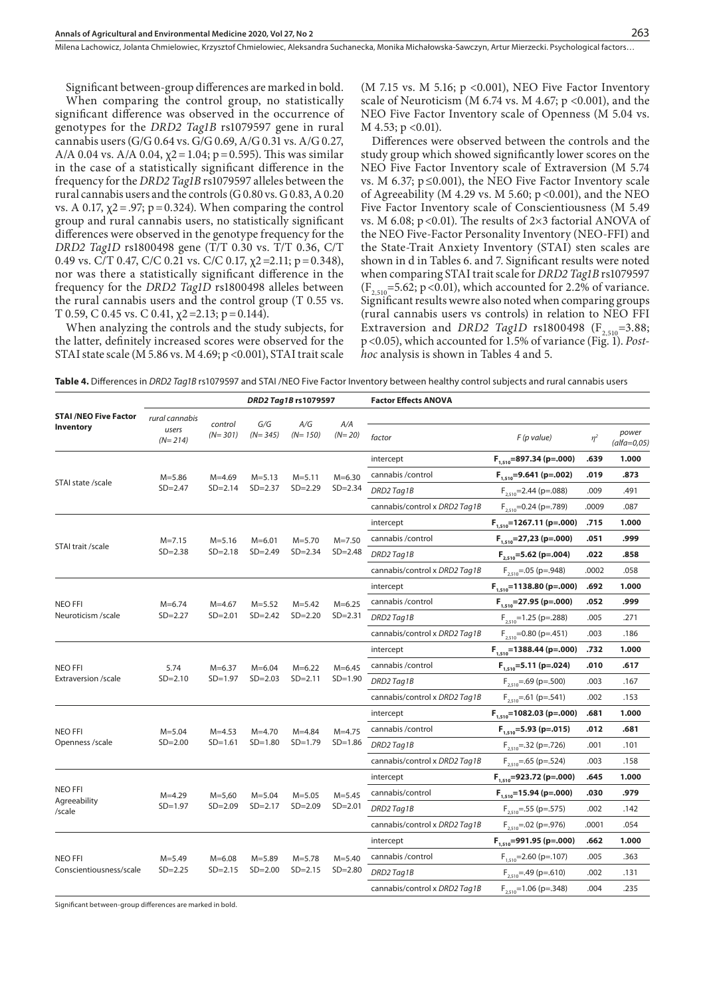Milena Lachowicz, Jolanta Chmielowiec, Krzysztof Chmielowiec, Aleksandra Suchanecka, Monika Michałowska-Sawczyn, Artur Mierzecki . Psychological factors…

Significant between-group differences are marked in bold. When comparing the control group, no statistically significant difference was observed in the occurrence of genotypes for the *DRD2 Tag1B* rs1079597 gene in rural cannabis users (G/G 0.64 vs. G/G 0.69, A/G 0.31 vs. A/G 0.27, A/A 0.04 vs. A/A 0.04,  $\chi$ 2 = 1.04; p = 0.595). This was similar in the case of a statistically significant difference in the frequency for the *DRD2 Tag1B* rs1079597 alleles between the rural cannabis users and the controls (G 0.80 vs. G 0.83, A 0.20 vs. A 0.17, χ2=.97; p=0.324). When comparing the control group and rural cannabis users, no statistically significant differences were observed in the genotype frequency for the *DRD2 Tag1D* rs1800498 gene (T/T 0.30 vs. T/T 0.36, C/T 0.49 vs. C/T 0.47, C/C 0.21 vs. C/C 0.17,  $\chi$ 2=2.11; p=0.348), nor was there a statistically significant difference in the frequency for the *DRD2 Tag1D* rs1800498 alleles between the rural cannabis users and the control group (T 0.55 vs. T 0.59, C 0.45 vs. C 0.41,  $\chi$ 2=2.13; p=0.144).

When analyzing the controls and the study subjects, for the latter, definitely increased scores were observed for the STAI state scale (M 5.86 vs. M 4.69; p < 0.001), STAI trait scale

(M 7.15 vs. M 5.16; p <0.001), NEO Five Factor Inventory scale of Neuroticism (M 6.74 vs. M 4.67;  $p \le 0.001$ ), and the NEO Five Factor Inventory scale of Openness (M 5.04 vs.  $M$  4.53;  $p$  < 0.01).

Differences were observed between the controls and the study group which showed significantly lower scores on the NEO Five Factor Inventory scale of Extraversion (M 5.74 vs. M 6.37; p≤0.001), the NEO Five Factor Inventory scale of Agreeability (M 4.29 vs. M 5.60;  $p$  <0.001), and the NEO Five Factor Inventory scale of Conscientiousness (M 5.49 vs. M 6.08;  $p < 0.01$ ). The results of 2×3 factorial ANOVA of the NEO Five-Factor Personality Inventory (NEO-FFI) and the State-Trait Anxiety Inventory (STAI) sten scales are shown in d in Tables 6. and 7. Significant results were noted when comparing STAI trait scale for *DRD2 Tag1B* rs1079597  $(F_{2,510} = 5.62; p < 0.01)$ , which accounted for 2.2% of variance. Significant results wewre also noted when comparing groups (rural cannabis users vs controls) in relation to NEO FFI Extraversion and *DRD2 Tag1D* rs1800498 ( $F_{2,510}$ =3.88; p<0.05), which accounted for 1.5% of variance (Fig. 1). *Posthoc* analysis is shown in Tables 4 and 5.

| Table 4. Differences in DRD2 Tag1B rs1079597 and STAI /NEO Five Factor Inventory between healthy control subjects and rural cannabis users |  |  |
|--------------------------------------------------------------------------------------------------------------------------------------------|--|--|
|                                                                                                                                            |  |  |

|                                                  |                                      |                            | DRD2 Tag1B rs1079597 |                  |                 | <b>Factor Effects ANOVA</b>   |                                |          |                          |  |
|--------------------------------------------------|--------------------------------------|----------------------------|----------------------|------------------|-----------------|-------------------------------|--------------------------------|----------|--------------------------|--|
| <b>STAI /NEO Five Factor</b><br><b>Inventory</b> | rural cannabis<br>users<br>$(N=214)$ | control<br>$(N=301)$       |                      | A/G<br>$(N=150)$ | A/A<br>$(N=20)$ | factor                        | $F$ (p value)                  | $\eta^2$ | power<br>$(alfa = 0.05)$ |  |
|                                                  |                                      |                            |                      |                  |                 | intercept                     | $F_{1,510} = 897.34$ (p=.000)  | .639     | 1.000                    |  |
|                                                  | $M = 5.86$                           | $M = 4.69$                 | $M = 5.13$           | $M = 5.11$       | $M = 6.30$      | cannabis / control            | $F_{1510} = 9.641$ (p=.002)    | .019     | .873                     |  |
| STAI state /scale                                | $SD = 2.47$                          | $SD = 2.14$                | $SD = 2.37$          | $SD = 2.29$      | $SD = 2.34$     | DRD2 Tag1B                    | $F_{2,510}$ = 2.44 (p=.088)    | .009     | .491                     |  |
|                                                  |                                      |                            |                      |                  |                 | cannabis/control x DRD2 Tag1B | $F_{2510}$ =0.24 (p=.789)      | .0009    | .087                     |  |
|                                                  |                                      |                            |                      |                  |                 | intercept                     | $F_{1.510}$ =1267.11 (p=.000)  | .715     | 1.000                    |  |
|                                                  | $M = 7.15$                           | $M = 5.16$                 | $M = 6.01$           | $M = 5.70$       | $M = 7.50$      | cannabis / control            | $F_{1.510} = 27,23$ (p=.000)   | .051     | .999                     |  |
| STAI trait /scale                                | $SD = 2.38$                          | $SD = 2.18$                | $SD = 2.49$          | $SD = 2.34$      | $SD = 2.48$     | DRD2 Tag1B                    | $F_{2510} = 5.62$ (p=.004)     | .022     | .858                     |  |
|                                                  |                                      |                            |                      |                  |                 | cannabis/control x DRD2 Tag1B | $F_{2,510} = .05$ (p=.948)     | .0002    | .058                     |  |
|                                                  |                                      |                            |                      |                  |                 | intercept                     | $F_{1.510} = 1138.80$ (p=.000) | .692     | 1.000                    |  |
| <b>NEO FFI</b>                                   | $M = 6.74$                           | $M = 4.67$                 | $M = 5.52$           | $M = 5.42$       | $M = 6.25$      | cannabis / control            | $F_{1510} = 27.95$ (p=.000)    | .052     | .999                     |  |
| Neuroticism /scale                               | $SD = 2.27$                          | $SD = 2.01$                | $SD = 2.42$          | $SD = 2.20$      | $SD = 2.31$     | DRD2 Tag1B                    | $F_{2,510}$ =1.25 (p=.288)     | .005     | .271                     |  |
|                                                  |                                      |                            |                      |                  |                 | cannabis/control x DRD2 Tag1B | $F_{2510}$ = 0.80 (p = .451)   | .003     | .186                     |  |
|                                                  |                                      |                            |                      |                  |                 | intercept                     | $F_{1,510}$ =1388.44 (p=.000)  | .732     | 1.000                    |  |
| <b>NEO FFI</b>                                   | 5.74                                 | $M = 6.37$                 | $M = 6.04$           | $M = 6.22$       | $M = 6.45$      | cannabis / control            | $F_{1510} = 5.11$ (p=.024)     | .010     | .617                     |  |
| Extraversion /scale                              | $SD = 2.10$                          | $SD = 1.97$<br>$SD = 2.03$ |                      | $SD = 2.11$      | $SD = 1.90$     | DRD2 Tag1B                    | $F_{2,510} = .69$ (p=.500)     | .003     | .167                     |  |
|                                                  |                                      |                            |                      |                  |                 | cannabis/control x DRD2 Tag1B | $F_{2,510} = .61$ (p=.541)     | .002     | .153                     |  |
|                                                  |                                      |                            |                      |                  |                 | intercept                     | $F_{1,510}$ =1082.03 (p=.000)  | .681     | 1.000                    |  |
| <b>NEO FFI</b>                                   | $M = 5.04$                           | $M = 4.53$                 | $M = 4.70$           | $M = 4.84$       | $M = 4.75$      | cannabis / control            | $F_{1510} = 5.93$ (p=.015)     | .012     | .681                     |  |
| Openness /scale                                  | $SD = 2.00$                          | $SD = 1.61$                | $SD = 1.80$          | $SD = 1.79$      | $SD = 1.86$     | DRD2 Tag1B                    | $F_{2,510} = .32$ (p=.726)     | .001     | .101                     |  |
|                                                  |                                      |                            |                      |                  |                 | cannabis/control x DRD2 Tag1B | $F_{2,510} = .65$ (p=.524)     | .003     | .158                     |  |
|                                                  |                                      |                            |                      |                  |                 | intercept                     | $F_{1,510} = 923.72$ (p=.000)  | .645     | 1.000                    |  |
| NEO FFI                                          | $M = 4.29$                           | $M = 5,60$                 | $M = 5.04$           | $M = 5.05$       | $M = 5.45$      | cannabis/control              | $F_{1.510} = 15.94$ (p=.000)   | .030     | .979                     |  |
| Agreeability<br>/scale                           | $SD = 1.97$                          | $SD = 2.09$                | $SD = 2.17$          | $SD = 2.09$      | $SD = 2.01$     | DRD2 Tag1B                    | $F_{2,510} = .55$ (p=.575)     | .002     | .142                     |  |
|                                                  |                                      |                            |                      |                  |                 | cannabis/control x DRD2 Tag1B | $F_{2,510} = .02$ (p=.976)     | .0001    | .054                     |  |
|                                                  |                                      |                            |                      |                  |                 | intercept                     | $F_{1.510} = 991.95$ (p=.000)  | .662     | 1.000                    |  |
| <b>NEO FFI</b>                                   | $M = 5.49$                           | $M = 6.08$                 | $M = 5.89$           | $M = 5.78$       | $M = 5.40$      | cannabis / control            | $F_{1,510} = 2.60$ (p=.107)    | .005     | .363                     |  |
| Conscientiousness/scale                          | $SD = 2.25$                          | $SD = 2.15$                | $SD = 2.00$          | $SD = 2.15$      | $SD = 2.80$     | DRD2 Tag1B                    | $F_{2,510} = .49$ (p=.610)     | .002     | .131                     |  |
|                                                  |                                      |                            |                      |                  |                 | cannabis/control x DRD2 Tag1B | $F_{2510}$ =1.06 (p=.348)      | .004     | .235                     |  |

Significant between-group differences are marked in bold.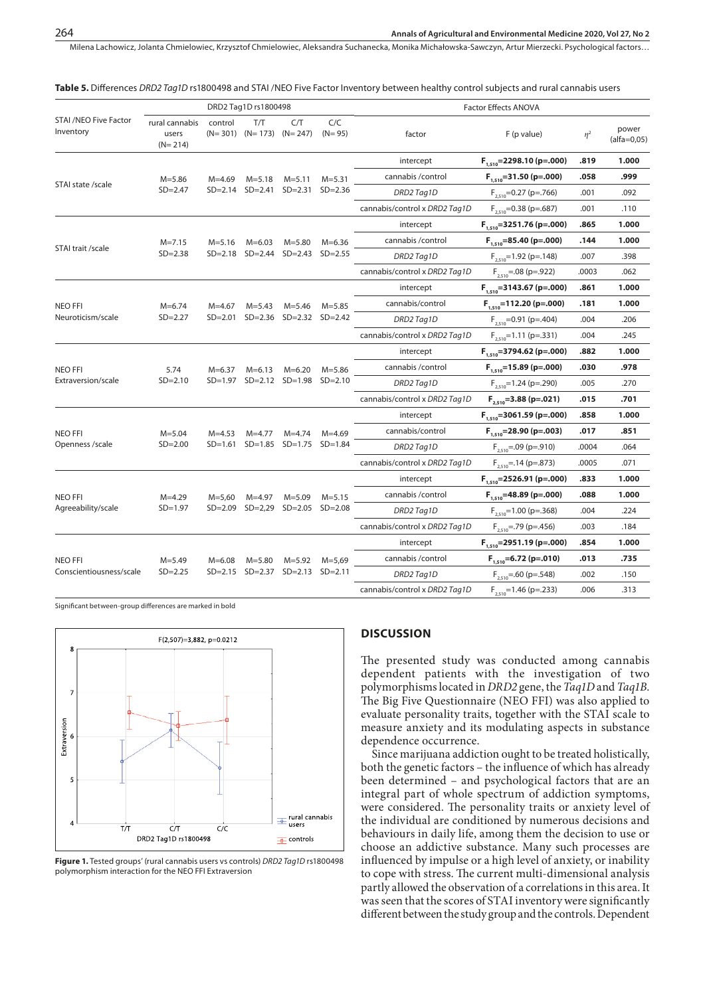Milena Lachowicz, Jolanta Chmielowiec, Krzysztof Chmielowiec, Aleksandra Suchanecka, Monika Michałowska-Sawczyn, Artur Mierzecki, Psychological factors…

|                                           |                                      |                         | DRD2 Tag1D rs1800498                 |                         |                   |                               | Factor Effects ANOVA           |          |                        |  |  |
|-------------------------------------------|--------------------------------------|-------------------------|--------------------------------------|-------------------------|-------------------|-------------------------------|--------------------------------|----------|------------------------|--|--|
| <b>STAI /NEO Five Factor</b><br>Inventory | rural cannabis<br>users<br>$(N=214)$ | control                 | T/T<br>$(N=301)$ $(N=173)$ $(N=247)$ | C/T                     | C/C<br>$(N = 95)$ | factor                        | F (p value)                    | $\eta^2$ | power<br>$(alfa=0.05)$ |  |  |
|                                           |                                      |                         |                                      |                         |                   | intercept                     | $F_{1,510}$ = 2298.10 (p=.000) | .819     | 1.000                  |  |  |
|                                           | $M = 5.86$                           | $M = 4.69$              | $M = 5.18$                           | $M = 5.11$              | $M = 5.31$        | cannabis / control            | $F_{1.510} = 31.50$ (p=.000)   | .058     | .999                   |  |  |
| STAI state /scale                         | $SD = 2.47$                          |                         | SD=2.14 SD=2.41                      | $SD = 2.31$             | $SD = 2.36$       | DRD2Tag1D                     | $F_{2.510}$ =0.27 (p=.766)     | .001     | .092                   |  |  |
|                                           |                                      |                         |                                      |                         |                   | cannabis/control x DRD2 Tag1D | $F_{2510}$ =0.38 (p=.687)      | .001     | .110                   |  |  |
|                                           |                                      |                         |                                      |                         |                   | intercept                     | $F_{1510} = 3251.76$ (p=.000)  | .865     | 1.000                  |  |  |
|                                           | $M = 7.15$                           | $M = 5.16$              | $M = 6.03$                           | $M = 5.80$              | $M = 6.36$        | cannabis / control            | $F_{1.510} = 85.40$ (p=.000)   | .144     | 1.000                  |  |  |
| STAI trait /scale                         | $SD = 2.38$                          |                         | SD=2.18 SD=2.44                      | $SD = 2.43$             | $SD = 2.55$       | DRD2Tag1D                     | $F_{2510}$ =1.92 (p=.148)      | .007     | .398                   |  |  |
|                                           |                                      |                         |                                      |                         |                   | cannabis/control x DRD2 Tag1D | $F_{2,510} = .08$ (p=.922)     | .0003    | .062                   |  |  |
|                                           |                                      |                         |                                      |                         |                   | intercept                     | $F_{1,510} = 3143.67$ (p=.000) | .861     | 1.000                  |  |  |
| <b>NEO FFI</b>                            | $M = 6.74$                           | $M = 4.67$              | $M = 5.43$                           | $M = 5.46$              | $M = 5.85$        | cannabis/control              | $F_{1,510} = 112.20$ (p=.000)  | .181     | 1.000                  |  |  |
| Neuroticism/scale                         | $SD = 2.27$                          | $SD = 2.01$             |                                      | SD=2.36 SD=2.32 SD=2.42 |                   | DRD2Tag1D                     | $F_{2,510}$ =0.91 (p=.404)     | .004     | .206                   |  |  |
|                                           |                                      |                         |                                      |                         |                   | cannabis/control x DRD2 Tag1D | $F_{2,510}$ =1.11 (p=.331)     | .004     | .245                   |  |  |
|                                           |                                      |                         |                                      |                         |                   | intercept                     | $F_{1,510} = 3794.62$ (p=.000) | .882     | 1.000                  |  |  |
| <b>NEO FFI</b>                            | 5.74                                 | $M = 6.37$              | $M = 6.13$                           | $M=6.20$                | $M = 5.86$        | cannabis / control            | $F_{1.510}$ =15.89 (p=.000)    | .030     | .978                   |  |  |
| Extraversion/scale                        | $SD = 2.10$                          | SD=1.97 SD=2.12 SD=1.98 |                                      | $SD = 2.10$             | DRD2Tag1D         | $F_{2,510}$ =1.24 (p=.290)    | .005                           | .270     |                        |  |  |
|                                           |                                      |                         |                                      |                         |                   | cannabis/control x DRD2 Tag1D | $F_{2.510} = 3.88$ (p=.021)    | .015     | .701                   |  |  |
|                                           |                                      |                         |                                      |                         |                   | intercept                     | $F_{1510} = 3061.59$ (p=.000)  | .858     | 1.000                  |  |  |
| <b>NEO FFI</b>                            | $M = 5.04$                           | $M = 4.53$              | $M = 4.77$                           | $M = 4.74$              | $M = 4.69$        | cannabis/control              | $F_{1.510} = 28.90$ (p=.003)   | .017     | .851                   |  |  |
| Openness /scale                           | $SD = 2.00$                          | $SD = 1.61$             | $SD = 1.85$                          | $SD = 1.75$             | $SD = 1.84$       | DRD2 Tag1D                    | $F_{2,510} = .09$ (p=.910)     | .0004    | .064                   |  |  |
|                                           |                                      |                         |                                      |                         |                   | cannabis/control x DRD2 Tag1D | $F_{2,510} = .14$ (p=.873)     | .0005    | .071                   |  |  |
|                                           |                                      |                         |                                      |                         |                   | intercept                     | $F_{1.510} = 2526.91$ (p=.000) | .833     | 1.000                  |  |  |
| <b>NEO FFI</b>                            | $M = 4.29$                           | $M = 5,60$              | $M = 4.97$                           | $M = 5.09$              | $M = 5.15$        | cannabis / control            | $F_{1.510} = 48.89$ (p=.000)   | .088     | 1.000                  |  |  |
| Agreeability/scale                        | $SD = 1.97$                          |                         | SD=2.09 SD=2,29                      | $SD = 2.05$             | $SD = 2.08$       | DRD2 Tag1D                    | $F_{2,510}$ =1.00 (p=.368)     | .004     | .224                   |  |  |
|                                           |                                      |                         |                                      |                         |                   | cannabis/control x DRD2 Tag1D | $F_{2,510}$ = .79 (p = .456)   | .003     | .184                   |  |  |
|                                           |                                      |                         |                                      |                         |                   | intercept                     | $F_{1,510} = 2951.19$ (p=.000) | .854     | 1.000                  |  |  |
| <b>NEO FFI</b>                            | $M = 5.49$                           | $M = 6.08$              | $M = 5.80$                           | $M = 5.92$              | $M = 5,69$        | cannabis / control            | $F_{1,510} = 6.72$ (p=.010)    | .013     | .735                   |  |  |
| Conscientiousness/scale                   | $SD = 2.25$                          |                         | $SD = 2.15$ $SD = 2.37$              | $SD = 2.13$ $SD = 2.11$ |                   | DRD2 Tag1D                    | $F_{2,510}$ = .60 (p = .548)   | .002     | .150                   |  |  |
|                                           |                                      |                         |                                      |                         |                   | cannabis/control x DRD2 Tag1D | $F_{2,510}$ =1.46 (p=.233)     | .006     | .313                   |  |  |

**Table 5.** Differences *DRD2 Tag1D* rs1800498 and STAI /NEO Five Factor Inventory between healthy control subjects and rural cannabis users

Significant between-group differences are marked in bold



**Figure 1.** Tested groups' (rural cannabis users vs controls) *DRD2 Tag1D* rs1800498 polymorphism interaction for the NEO FFI Extraversion

# **DISCUSSION**

The presented study was conducted among cannabis dependent patients with the investigation of two polymorphisms located in *DRD2* gene, the *Taq1D* and *Taq1B*. The Big Five Questionnaire (NEO FFI) was also applied to evaluate personality traits, together with the STAI scale to measure anxiety and its modulating aspects in substance dependence occurrence.

Since marijuana addiction ought to be treated holistically, both the genetic factors – the influence of which has already been determined – and psychological factors that are an integral part of whole spectrum of addiction symptoms, were considered. The personality traits or anxiety level of the individual are conditioned by numerous decisions and behaviours in daily life, among them the decision to use or choose an addictive substance. Many such processes are influenced by impulse or a high level of anxiety, or inability to cope with stress. The current multi-dimensional analysis partly allowed the observation of a correlations in this area. It was seen that the scores of STAI inventory were significantly different between the study group and the controls. Dependent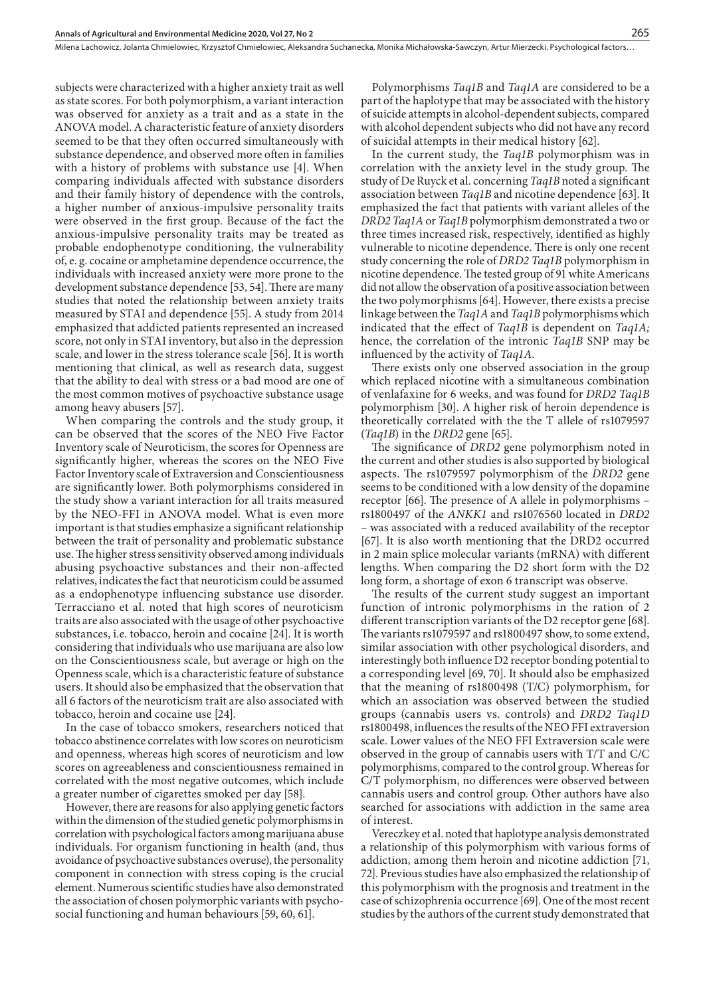Milena Lachowicz, Jolanta Chmielowiec, Krzysztof Chmielowiec, Aleksandra Suchanecka, Monika Michałowska-Sawczyn, Artur Mierzecki . Psychological factors…

subjects were characterized with a higher anxiety trait as well as state scores. For both polymorphism, a variant interaction was observed for anxiety as a trait and as a state in the ANOVA model. A characteristic feature of anxiety disorders seemed to be that they often occurred simultaneously with substance dependence, and observed more often in families with a history of problems with substance use [4]. When comparing individuals affected with substance disorders and their family history of dependence with the controls, a higher number of anxious-impulsive personality traits were observed in the first group. Because of the fact the anxious-impulsive personality traits may be treated as probable endophenotype conditioning, the vulnerability of, e. g. cocaine or amphetamine dependence occurrence, the individuals with increased anxiety were more prone to the development substance dependence [53, 54]. There are many studies that noted the relationship between anxiety traits measured by STAI and dependence [55]. A study from 2014 emphasized that addicted patients represented an increased score, not only in STAI inventory, but also in the depression scale, and lower in the stress tolerance scale [56]. It is worth mentioning that clinical, as well as research data, suggest that the ability to deal with stress or a bad mood are one of the most common motives of psychoactive substance usage among heavy abusers [57].

When comparing the controls and the study group, it can be observed that the scores of the NEO Five Factor Inventory scale of Neuroticism, the scores for Openness are significantly higher, whereas the scores on the NEO Five Factor Inventory scale of Extraversion and Conscientiousness are significantly lower. Both polymorphisms considered in the study show a variant interaction for all traits measured by the NEO-FFI in ANOVA model. What is even more important is that studies emphasize a significant relationship between the trait of personality and problematic substance use. The higher stress sensitivity observed among individuals abusing psychoactive substances and their non-affected relatives, indicates the fact that neuroticism could be assumed as a endophenotype influencing substance use disorder. Terracciano et al. noted that high scores of neuroticism traits are also associated with the usage of other psychoactive substances, i.e. tobacco, heroin and cocaine [24]. It is worth considering that individuals who use marijuana are also low on the Conscientiousness scale, but average or high on the Openness scale, which is a characteristic feature of substance users. It should also be emphasized that the observation that all 6 factors of the neuroticism trait are also associated with tobacco, heroin and cocaine use [24].

In the case of tobacco smokers, researchers noticed that tobacco abstinence correlates with low scores on neuroticism and openness, whereas high scores of neuroticism and low scores on agreeableness and conscientiousness remained in correlated with the most negative outcomes, which include a greater number of cigarettes smoked per day [58].

However, there are reasons for also applying genetic factors within the dimension of the studied genetic polymorphisms in correlation with psychological factors among marijuana abuse individuals. For organism functioning in health (and, thus avoidance of psychoactive substances overuse), the personality component in connection with stress coping is the crucial element. Numerous scientific studies have also demonstrated the association of chosen polymorphic variants with psychosocial functioning and human behaviours [59, 60, 61].

Polymorphisms *Taq1B* and *Taq1A* are considered to be a part of the haplotype that may be associated with the history of suicide attempts in alcohol-dependent subjects, compared with alcohol dependent subjects who did not have any record of suicidal attempts in their medical history [62].

In the current study, the *Taq1B* polymorphism was in correlation with the anxiety level in the study group. The study of De Ruyck et al. concerning *Taq1B* noted a significant association between *Taq1B* and nicotine dependence [63]. It emphasized the fact that patients with variant alleles of the *DRD2 Taq1A* or *Taq1B* polymorphism demonstrated a two or three times increased risk, respectively, identified as highly vulnerable to nicotine dependence. There is only one recent study concerning the role of *DRD2 Taq1B* polymorphism in nicotine dependence. The tested group of 91 white Americans did not allow the observation of a positive association between the two polymorphisms [64]. However, there exists a precise linkage between the *Taq1A* and *Taq1B* polymorphisms which indicated that the effect of *Taq1B* is dependent on *Taq1A;* hence, the correlation of the intronic *Taq1B* SNP may be influenced by the activity of *Taq1A*.

There exists only one observed association in the group which replaced nicotine with a simultaneous combination of venlafaxine for 6 weeks, and was found for *DRD2 Taq1B* polymorphism [30]. A higher risk of heroin dependence is theoretically correlated with the the T allele of rs1079597 (*Taq1B*) in the *DRD2* gene [65].

The significance of *DRD2* gene polymorphism noted in the current and other studies is also supported by biological aspects. The rs1079597 polymorphism of the *DRD2* gene seems to be conditioned with a low density of the dopamine receptor [66]. The presence of A allele in polymorphisms – rs1800497 of the *ANKK1* and rs1076560 located in *DRD2* – was associated with a reduced availability of the receptor [67]. It is also worth mentioning that the DRD2 occurred in 2 main splice molecular variants (mRNA) with different lengths. When comparing the D2 short form with the D2 long form, a shortage of exon 6 transcript was observe.

The results of the current study suggest an important function of intronic polymorphisms in the ration of 2 different transcription variants of the D2 receptor gene [68]. The variants rs1079597 and rs1800497 show, to some extend, similar association with other psychological disorders, and interestingly both influence D2 receptor bonding potential to a corresponding level [69, 70]. It should also be emphasized that the meaning of rs1800498 (T/C) polymorphism, for which an association was observed between the studied groups (cannabis users vs. controls) and *DRD2 Taq1D* rs1800498, influences the results of the NEO FFI extraversion scale. Lower values of the NEO FFI Extraversion scale were observed in the group of cannabis users with T/T and C/C polymorphisms, compared to the control group. Whereas for C/T polymorphism, no differences were observed between cannabis users and control group. Other authors have also searched for associations with addiction in the same area of interest.

Vereczkey et al. noted that haplotype analysis demonstrated a relationship of this polymorphism with various forms of addiction, among them heroin and nicotine addiction [71, 72]. Previous studies have also emphasized the relationship of this polymorphism with the prognosis and treatment in the case of schizophrenia occurrence [69]. One of the most recent studies by the authors of the current study demonstrated that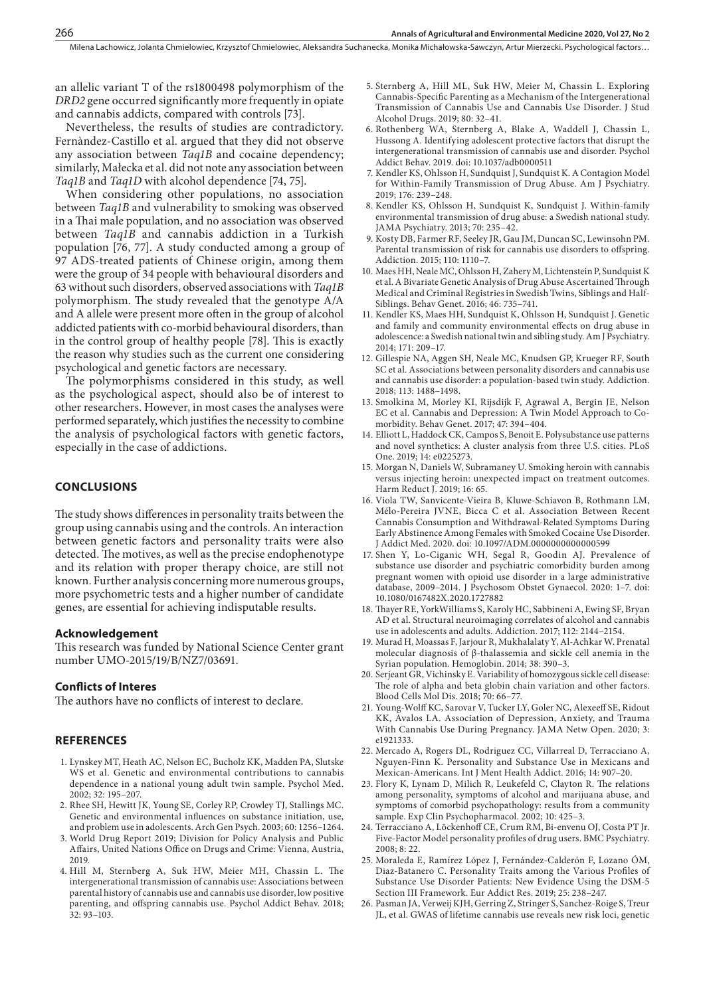an allelic variant T of the rs1800498 polymorphism of the *DRD2* gene occurred significantly more frequently in opiate and cannabis addicts, compared with controls [73].

Nevertheless, the results of studies are contradictory. Fernàndez-Castillo et al. argued that they did not observe any association between *Taq1B* and cocaine dependency; similarly, Małecka et al. did not note any association between *Taq1B* and *Taq1D* with alcohol dependence [74, 75].

When considering other populations, no association between *Taq1B* and vulnerability to smoking was observed in a Thai male population, and no association was observed between *Taq1B* and cannabis addiction in a Turkish population [76, 77]. A study conducted among a group of 97 ADS-treated patients of Chinese origin, among them were the group of 34 people with behavioural disorders and 63 without such disorders, observed associations with *Taq1B* polymorphism. The study revealed that the genotype A/A and A allele were present more often in the group of alcohol addicted patients with co-morbid behavioural disorders, than in the control group of healthy people [78]. This is exactly the reason why studies such as the current one considering psychological and genetic factors are necessary.

The polymorphisms considered in this study, as well as the psychological aspect, should also be of interest to other researchers. However, in most cases the analyses were performed separately, which justifies the necessity to combine the analysis of psychological factors with genetic factors, especially in the case of addictions.

#### **CONCLUSIONS**

The study shows differences in personality traits between the group using cannabis using and the controls. An interaction between genetic factors and personality traits were also detected. The motives, as well as the precise endophenotype and its relation with proper therapy choice, are still not known. Further analysis concerning more numerous groups, more psychometric tests and a higher number of candidate genes, are essential for achieving indisputable results.

#### **Acknowledgement**

This research was funded by National Science Center grant number UMO-2015/19/B/NZ7/03691.

#### **Conflicts of Interes**

The authors have no conflicts of interest to declare.

#### **REFERENCES**

- 1. Lynskey MT, Heath AC, Nelson EC, Bucholz KK, Madden PA, Slutske WS et al. Genetic and environmental contributions to cannabis dependence in a national young adult twin sample. Psychol Med. 2002; 32: 195–207.
- 2. Rhee SH, Hewitt JK, Young SE, Corley RP, Crowley TJ, Stallings MC. Genetic and environmental influences on substance initiation, use, and problem use in adolescents. Arch Gen Psych. 2003; 60: 1256–1264.
- 3. World Drug Report 2019; Division for Policy Analysis and Public Affairs, United Nations Office on Drugs and Crime: Vienna, Austria, 2019.
- 4. Hill M, Sternberg A, Suk HW, Meier MH, Chassin L. The intergenerational transmission of cannabis use: Associations between parental history of cannabis use and cannabis use disorder, low positive parenting, and offspring cannabis use. Psychol Addict Behav. 2018; 32: 93–103.
- 5. Sternberg A, Hill ML, Suk HW, Meier M, Chassin L. Exploring Cannabis-Specific Parenting as a Mechanism of the Intergenerational Transmission of Cannabis Use and Cannabis Use Disorder. J Stud Alcohol Drugs. 2019; 80: 32–41.
- 6. Rothenberg WA, Sternberg A, Blake A, Waddell J, Chassin L, Hussong A. Identifying adolescent protective factors that disrupt the intergenerational transmission of cannabis use and disorder. Psychol Addict Behav. 2019. doi: 10.1037/adb0000511
- 7. Kendler KS, Ohlsson H, Sundquist J, Sundquist K. A Contagion Model for Within-Family Transmission of Drug Abuse. Am J Psychiatry. 2019; 176: 239–248.
- 8. Kendler KS, Ohlsson H, Sundquist K, Sundquist J. Within-family environmental transmission of drug abuse: a Swedish national study. JAMA Psychiatry. 2013; 70: 235–42.
- 9. Kosty DB, Farmer RF, Seeley JR, Gau JM, Duncan SC, Lewinsohn PM. Parental transmission of risk for cannabis use disorders to offspring. Addiction. 2015; 110: 1110–7.
- 10. Maes HH, Neale MC, Ohlsson H, Zahery M, Lichtenstein P, Sundquist K et al. A Bivariate Genetic Analysis of Drug Abuse Ascertained Through Medical and Criminal Registries in Swedish Twins, Siblings and Half-Siblings. Behav Genet. 2016; 46: 735–741.
- 11. Kendler KS, Maes HH, Sundquist K, Ohlsson H, Sundquist J. Genetic and family and community environmental effects on drug abuse in adolescence: a Swedish national twin and sibling study. Am J Psychiatry. 2014; 171: 209–17.
- 12. Gillespie NA, Aggen SH, Neale MC, Knudsen GP, Krueger RF, South SC et al. Associations between personality disorders and cannabis use and cannabis use disorder: a population-based twin study. Addiction. 2018; 113: 1488–1498.
- 13. Smolkina M, Morley KI, Rijsdijk F, Agrawal A, Bergin JE, Nelson EC et al. Cannabis and Depression: A Twin Model Approach to Comorbidity. Behav Genet. 2017; 47: 394–404.
- 14. Elliott L, Haddock CK, Campos S, Benoit E. Polysubstance use patterns and novel synthetics: A cluster analysis from three U.S. cities. PLoS One. 2019; 14: e0225273.
- 15. Morgan N, Daniels W, Subramaney U. Smoking heroin with cannabis versus injecting heroin: unexpected impact on treatment outcomes. Harm Reduct J. 2019; 16: 65.
- 16. Viola TW, Sanvicente-Vieira B, Kluwe-Schiavon B, Rothmann LM, Mélo-Pereira JVNE, Bicca C et al. Association Between Recent Cannabis Consumption and Withdrawal-Related Symptoms During Early Abstinence Among Females with Smoked Cocaine Use Disorder. J Addict Med. 2020. doi: 10.1097/ADM.0000000000000599
- 17. Shen Y, Lo-Ciganic WH, Segal R, Goodin AJ. Prevalence of substance use disorder and psychiatric comorbidity burden among pregnant women with opioid use disorder in a large administrative database, 2009–2014. J Psychosom Obstet Gynaecol. 2020: 1–7. doi: 10.1080/0167482X.2020.1727882
- 18. Thayer RE, YorkWilliams S, Karoly HC, Sabbineni A, Ewing SF, Bryan AD et al. Structural neuroimaging correlates of alcohol and cannabis use in adolescents and adults. Addiction. 2017; 112: 2144–2154.
- 19. Murad H, Moassas F, Jarjour R, Mukhalalaty Y, Al-Achkar W. Prenatal molecular diagnosis of β-thalassemia and sickle cell anemia in the Syrian population. Hemoglobin. 2014; 38: 390–3.
- 20. Serjeant GR, Vichinsky E. Variability of homozygous sickle cell disease: The role of alpha and beta globin chain variation and other factors. Blood Cells Mol Dis. 2018; 70: 66–77.
- 21. Young-Wolff KC, Sarovar V, Tucker LY, Goler NC, Alexeeff SE, Ridout KK, Avalos LA. Association of Depression, Anxiety, and Trauma With Cannabis Use During Pregnancy. JAMA Netw Open. 2020; 3: e1921333.
- 22. Mercado A, Rogers DL, Rodriguez CC, Villarreal D, Terracciano A, Nguyen-Finn K. Personality and Substance Use in Mexicans and Mexican-Americans. Int J Ment Health Addict. 2016; 14: 907–20.
- 23. Flory K, Lynam D, Milich R, Leukefeld C, Clayton R. The relations among personality, symptoms of alcohol and marijuana abuse, and symptoms of comorbid psychopathology: results from a community sample. Exp Clin Psychopharmacol. 2002; 10: 425–3.
- 24. Terracciano A, Löckenhoff CE, Crum RM, Bi-envenu OJ, Costa PT Jr. Five-Factor Model personality profiles of drug users. BMC Psychiatry. 2008; 8: 22.
- 25. Moraleda E, Ramírez López J, Fernández-Calderón F, Lozano ÓM, Diaz-Batanero C. Personality Traits among the Various Profiles of Substance Use Disorder Patients: New Evidence Using the DSM-5 Section III Framework. Eur Addict Res. 2019; 25: 238–247.
- 26. Pasman JA, Verweij KJH, Gerring Z, Stringer S, Sanchez-Roige S, Treur JL, et al. GWAS of lifetime cannabis use reveals new risk loci, genetic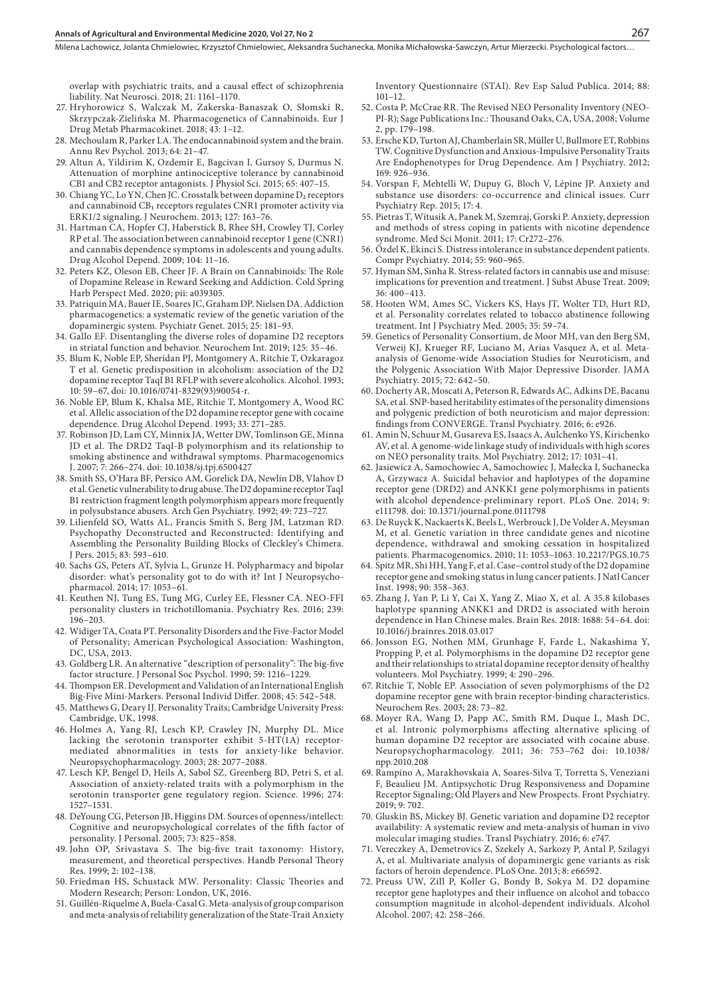Milena Lachowicz, Jolanta Chmielowiec, Krzysztof Chmielowiec, Aleksandra Suchanecka, Monika Michałowska-Sawczyn, Artur Mierzecki, Psychological factors...

overlap with psychiatric traits, and a causal effect of schizophrenia liability. Nat Neurosci. 2018; 21: 1161–1170.

- 27. Hryhorowicz S, Walczak M, Zakerska-Banaszak O, Słomski R, Skrzypczak-Zielińska M. Pharmacogenetics of Cannabinoids. Eur J Drug Metab Pharmacokinet. 2018; 43: 1–12.
- 28. Mechoulam R, Parker LA. The endocannabinoid system and the brain. Annu Rev Psychol. 2013; 64: 21–47.
- 29. Altun A, Yildirim K, Ozdemir E, Bagcivan I, Gursoy S, Durmus N. Attenuation of morphine antinociceptive tolerance by cannabinoid CB1 and CB2 receptor antagonists. J Physiol Sci. 2015; 65: 407–15.
- 30. Chiang YC, Lo YN, Chen JC. Crosstalk between dopamine D₂ receptors and cannabinoid CB₁ receptors regulates CNR1 promoter activity via ERK1/2 signaling. J Neurochem. 2013; 127: 163–76.
- 31. Hartman CA, Hopfer CJ, Haberstick B, Rhee SH, Crowley TJ, Corley RP et al. The association between cannabinoid receptor 1 gene (CNR1) and cannabis dependence symptoms in adolescents and young adults. Drug Alcohol Depend. 2009; 104: 11–16.
- 32. Peters KZ, Oleson EB, Cheer JF. A Brain on Cannabinoids: The Role of Dopamine Release in Reward Seeking and Addiction. Cold Spring Harb Perspect Med. 2020; pii: a039305.
- 33. Patriquin MA, Bauer IE, Soares JC, Graham DP, Nielsen DA. Addiction pharmacogenetics: a systematic review of the genetic variation of the dopaminergic system. Psychiatr Genet. 2015; 25: 181–93.
- 34. Gallo EF. Disentangling the diverse roles of dopamine D2 receptors in striatal function and behavior. Neurochem Int. 2019; 125: 35–46.
- 35. Blum K, Noble EP, Sheridan PJ, Montgomery A, Ritchie T, Ozkaragoz T et al. Genetic predisposition in alcoholism: association of the D2 dopamine receptor TaqI B1 RFLP with severe alcoholics. Alcohol. 1993; 10: 59–67, doi: 10.1016/0741-8329(93)90054-r.
- 36. Noble EP, Blum K, Khalsa ME, Ritchie T, Montgomery A, Wood RC et al. Allelic association of the D2 dopamine receptor gene with cocaine dependence. Drug Alcohol Depend. 1993; 33: 271–285.
- 37. Robinson JD, Lam CY, Minnix JA, Wetter DW, Tomlinson GE, Minna JD et al. The DRD2 TaqI-B polymorphism and its relationship to smoking abstinence and withdrawal symptoms. Pharmacogenomics J. 2007; 7: 266–274. doi: 10.1038/sj.tpj.6500427
- 38. Smith SS, O'Hara BF, Persico AM, Gorelick DA, Newlin DB, Vlahov D et al. Genetic vulnerability to drug abuse. The D2 dopamine receptor TaqI B1 restriction fragment length polymorphism appears more frequently in polysubstance abusers. Arch Gen Psychiatry. 1992; 49: 723–727.
- 39. Lilienfeld SO, Watts AL, Francis Smith S, Berg JM, Latzman RD. Psychopathy Deconstructed and Reconstructed: Identifying and Assembling the Personality Building Blocks of Cleckley's Chimera. J Pers. 2015; 83: 593–610.
- 40. Sachs GS, Peters AT, Sylvia L, Grunze H. Polypharmacy and bipolar disorder: what's personality got to do with it? Int J Neuropsychopharmacol. 2014; 17: 1053–61.
- 41. Keuthen NJ, Tung ES, Tung MG, Curley EE, Flessner CA. NEO-FFI personality clusters in trichotillomania. Psychiatry Res. 2016; 239: 196–203.
- 42. Widiger TA, Coata PT. Personality Disorders and the Five-Factor Model of Personality; American Psychological Association: Washington, DC, USA, 2013.
- 43. Goldberg LR. An alternative "description of personality": The big-five factor structure. J Personal Soc Psychol. 1990; 59: 1216–1229.
- 44. Thompson ER. Development and Validation of an International English Big-Five Mini-Markers. Personal Individ Differ. 2008; 45: 542–548.
- 45. Matthews G, Deary IJ. Personality Traits; Cambridge University Press: Cambridge, UK, 1998.
- 46. Holmes A, Yang RJ, Lesch KP, Crawley JN, Murphy DL. Mice lacking the serotonin transporter exhibit 5-HT(1A) receptormediated abnormalities in tests for anxiety-like behavior. Neuropsychopharmacology. 2003; 28: 2077–2088.
- 47. Lesch KP, Bengel D, Heils A, Sabol SZ, Greenberg BD, Petri S, et al. Association of anxiety-related traits with a polymorphism in the serotonin transporter gene regulatory region. Science. 1996; 274: 1527–1531.
- 48. DeYoung CG, Peterson JB, Higgins DM. Sources of openness/intellect: Cognitive and neuropsychological correlates of the fifth factor of personality. J Personal. 2005; 73: 825–858.
- 49. John OP, Srivastava S. The big-five trait taxonomy: History, measurement, and theoretical perspectives. Handb Personal Theory Res. 1999; 2: 102–138.
- 50. Friedman HS, Schustack MW. Personality: Classic Theories and Modern Research; Person: London, UK, 2016.
- 51. Guillén-Riquelme A, Buela-Casal G. Meta-analysis of group comparison and meta-analysis of reliability generalization of the State-Trait Anxiety

Inventory Questionnaire (STAI). Rev Esp Salud Publica. 2014; 88: 101–12.

- 52. Costa P, McCrae RR. The Revised NEO Personality Inventory (NEO-PI-R); Sage Publications Inc.: Thousand Oaks, CA, USA, 2008; Volume 2, pp. 179–198.
- 53. Ersche KD, Turton AJ, Chamberlain SR, Müller U, Bullmore ET, Robbins TW. Cognitive Dysfunction and Anxious-Impulsive Personality Traits Are Endophenotypes for Drug Dependence. Am J Psychiatry. 2012; 169: 926–936.
- 54. Vorspan F, Mehtelli W, Dupuy G, Bloch V, Lépine JP. Anxiety and substance use disorders: co-occurrence and clinical issues. Curr Psychiatry Rep. 2015; 17: 4.
- 55. Pietras T, Witusik A, Panek M, Szemraj, Gorski P. Anxiety, depression and methods of stress coping in patients with nicotine dependence syndrome. Med Sci Monit. 2011; 17: Cr272–276.
- 56. Özdel K, Ekinci S. Distress intolerance in substance dependent patients. Compr Psychiatry. 2014; 55: 960–965.
- 57. Hyman SM, Sinha R. Stress-related factors in cannabis use and misuse: implications for prevention and treatment. J Subst Abuse Treat. 2009; 36: 400–413.
- 58. Hooten WM, Ames SC, Vickers KS, Hays JT, Wolter TD, Hurt RD, et al. Personality correlates related to tobacco abstinence following treatment. Int J Psychiatry Med. 2005; 35: 59–74.
- 59. Genetics of Personality Consortium, de Moor MH, van den Berg SM, Verweij KJ, Krueger RF, Luciano M, Arias Vasquez A, et al. Metaanalysis of Genome-wide Association Studies for Neuroticism, and the Polygenic Association With Major Depressive Disorder. JAMA Psychiatry. 2015; 72: 642–50.
- 60. Docherty AR, Moscati A, Peterson R, Edwards AC, Adkins DE, Bacanu SA, et al. SNP-based heritability estimates of the personality dimensions and polygenic prediction of both neuroticism and major depression: findings from CONVERGE. Transl Psychiatry. 2016; 6: e926.
- 61. Amin N, Schuur M, Gusareva ES, Isaacs A, Aulchenko YS, Kirichenko AV, et al. A genome-wide linkage study of individuals with high scores on NEO personality traits. Mol Psychiatry. 2012; 17: 1031–41.
- 62. Jasiewicz A, Samochowiec A, Samochowiec J, Małecka I, Suchanecka A, Grzywacz A. Suicidal behavior and haplotypes of the dopamine receptor gene (DRD2) and ANKK1 gene polymorphisms in patients with alcohol dependence-preliminary report. PLoS One. 2014; 9: e111798. doi: 10.1371/journal.pone.0111798
- 63. De Ruyck K, Nackaerts K, Beels L, Werbrouck J, De Volder A, Meysman M, et al. Genetic variation in three candidate genes and nicotine dependence, withdrawal and smoking cessation in hospitalized patients. Pharmacogenomics. 2010; 11: 1053–1063. 10.2217/PGS.10.75
- 64. Spitz MR, Shi HH, Yang F, et al. Case–control study of the D2 dopamine receptor gene and smoking status in lung cancer patients. J Natl Cancer Inst. 1998; 90: 358–363.
- 65. Zhang J, Yan P, Li Y, Cai X, Yang Z, Miao X, et al. A 35.8 kilobases haplotype spanning ANKK1 and DRD2 is associated with heroin dependence in Han Chinese males. Brain Res. 2018: 1688: 54–64. doi: 10.1016/j.brainres.2018.03.017
- 66. Jonsson EG, Nothen MM, Grunhage F, Farde L, Nakashima Y, Propping P, et al. Polymorphisms in the dopamine D2 receptor gene and their relationships to striatal dopamine receptor density of healthy volunteers. Mol Psychiatry. 1999; 4: 290–296.
- 67. Ritchie T, Noble EP. Association of seven polymorphisms of the D2 dopamine receptor gene with brain receptor-binding characteristics. Neurochem Res. 2003; 28: 73–82.
- 68. Moyer RA, Wang D, Papp AC, Smith RM, Duque L, Mash DC, et al. Intronic polymorphisms affecting alternative splicing of human dopamine D2 receptor are associated with cocaine abuse. Neuropsychopharmacology. 2011; 36: 753–762 doi: 10.1038/ npp.2010.208
- 69. Rampino A, Marakhovskaia A, Soares-Silva T, Torretta S, Veneziani F, Beaulieu JM. Antipsychotic Drug Responsiveness and Dopamine Receptor Signaling; Old Players and New Prospects. Front Psychiatry. 2019; 9: 702.
- 70. Gluskin BS, Mickey BJ. Genetic variation and dopamine D2 receptor availability: A systematic review and meta-analysis of human in vivo molecular imaging studies. Transl Psychiatry. 2016; 6: e747.
- 71. Vereczkey A, Demetrovics Z, Szekely A, Sarkozy P, Antal P, Szilagyi A, et al. Multivariate analysis of dopaminergic gene variants as risk factors of heroin dependence. PLoS One. 2013; 8: e66592.
- 72. Preuss UW, Zill P, Koller G, Bondy B, Sokya M. D2 dopamine receptor gene haplotypes and their influence on alcohol and tobacco consumption magnitude in alcohol-dependent individuals. Alcohol Alcohol. 2007; 42: 258–266.